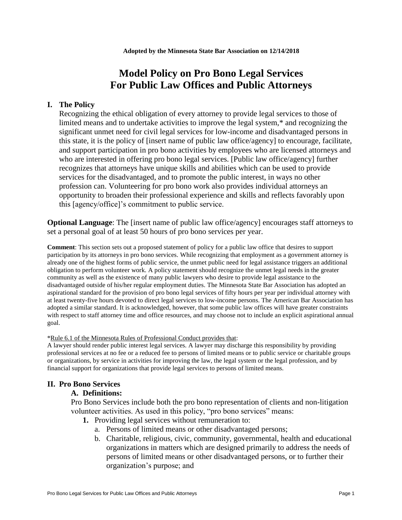# **Model Policy on Pro Bono Legal Services For Public Law Offices and Public Attorneys**

# **I. The Policy**

Recognizing the ethical obligation of every attorney to provide legal services to those of limited means and to undertake activities to improve the legal system,\* and recognizing the significant unmet need for civil legal services for low-income and disadvantaged persons in this state, it is the policy of [insert name of public law office/agency] to encourage, facilitate, and support participation in pro bono activities by employees who are licensed attorneys and who are interested in offering pro bono legal services. [Public law office/agency] further recognizes that attorneys have unique skills and abilities which can be used to provide services for the disadvantaged, and to promote the public interest, in ways no other profession can. Volunteering for pro bono work also provides individual attorneys an opportunity to broaden their professional experience and skills and reflects favorably upon this [agency/office]'s commitment to public service.

**Optional Language**: The [insert name of public law office/agency] encourages staff attorneys to set a personal goal of at least 50 hours of pro bono services per year.

**Comment**: This section sets out a proposed statement of policy for a public law office that desires to support participation by its attorneys in pro bono services. While recognizing that employment as a government attorney is already one of the highest forms of public service, the unmet public need for legal assistance triggers an additional obligation to perform volunteer work. A policy statement should recognize the unmet legal needs in the greater community as well as the existence of many public lawyers who desire to provide legal assistance to the disadvantaged outside of his/her regular employment duties. The Minnesota State Bar Association has adopted an aspirational standard for the provision of pro bono legal services of fifty hours per year per individual attorney with at least twenty-five hours devoted to direct legal services to low-income persons. The American Bar Association has adopted a similar standard. It is acknowledged, however, that some public law offices will have greater constraints with respect to staff attorney time and office resources, and may choose not to include an explicit aspirational annual goal.

\*Rule 6.1 of the Minnesota Rules of Professional Conduct provides that:

A lawyer should render public interest legal services. A lawyer may discharge this responsibility by providing professional services at no fee or a reduced fee to persons of limited means or to public service or charitable groups or organizations, by service in activities for improving the law, the legal system or the legal profession, and by financial support for organizations that provide legal services to persons of limited means.

## **II. Pro Bono Services**

# **A. Definitions:**

Pro Bono Services include both the pro bono representation of clients and non-litigation volunteer activities. As used in this policy, "pro bono services" means:

- **1.** Providing legal services without remuneration to:
	- a. Persons of limited means or other disadvantaged persons;
	- b. Charitable, religious, civic, community, governmental, health and educational organizations in matters which are designed primarily to address the needs of persons of limited means or other disadvantaged persons, or to further their organization's purpose; and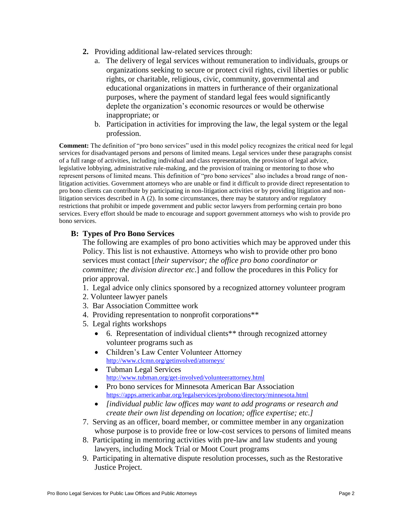- **2.** Providing additional law-related services through:
	- a. The delivery of legal services without remuneration to individuals, groups or organizations seeking to secure or protect civil rights, civil liberties or public rights, or charitable, religious, civic, community, governmental and educational organizations in matters in furtherance of their organizational purposes, where the payment of standard legal fees would significantly deplete the organization's economic resources or would be otherwise inappropriate; or
	- b. Participation in activities for improving the law, the legal system or the legal profession.

**Comment:** The definition of "pro bono services" used in this model policy recognizes the critical need for legal services for disadvantaged persons and persons of limited means. Legal services under these paragraphs consist of a full range of activities, including individual and class representation, the provision of legal advice, legislative lobbying, administrative rule-making, and the provision of training or mentoring to those who represent persons of limited means. This definition of "pro bono services" also includes a broad range of nonlitigation activities. Government attorneys who are unable or find it difficult to provide direct representation to pro bono clients can contribute by participating in non-litigation activities or by providing litigation and nonlitigation services described in A (2). In some circumstances, there may be statutory and/or regulatory restrictions that prohibit or impede government and public sector lawyers from performing certain pro bono services. Every effort should be made to encourage and support government attorneys who wish to provide pro bono services.

## **B: Types of Pro Bono Services**

The following are examples of pro bono activities which may be approved under this Policy. This list is not exhaustive. Attorneys who wish to provide other pro bono services must contact [*their supervisor; the office pro bono coordinator or committee; the division director etc*.] and follow the procedures in this Policy for prior approval.

- 1. Legal advice only clinics sponsored by a recognized attorney volunteer program
- 2. Volunteer lawyer panels
- 3. Bar Association Committee work
- 4. Providing representation to nonprofit corporations\*\*
- 5. Legal rights workshops
	- 6. Representation of individual clients\*\* through recognized attorney volunteer programs such as
	- Children's Law Center Volunteer Attorney <http://www.clcmn.org/getinvolved/attorneys/>
	- Tubman Legal Services <http://www.tubman.org/get-involved/volunteerattorney.html>
	- Pro bono services for Minnesota American Bar Association <https://apps.americanbar.org/legalservices/probono/directory/minnesota.html>
	- *[individual public law offices may want to add programs or research and create their own list depending on location; office expertise; etc.]*
- 7. Serving as an officer, board member, or committee member in any organization whose purpose is to provide free or low-cost services to persons of limited means
- 8. Participating in mentoring activities with pre-law and law students and young lawyers, including Mock Trial or Moot Court programs
- 9. Participating in alternative dispute resolution processes, such as the Restorative Justice Project.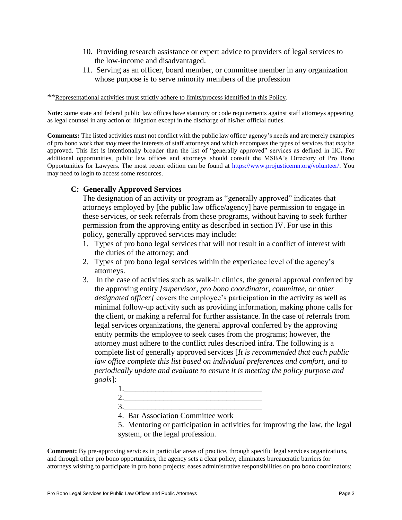- 10. Providing research assistance or expert advice to providers of legal services to the low-income and disadvantaged.
- 11. Serving as an officer, board member, or committee member in any organization whose purpose is to serve minority members of the profession

\*\*Representational activities must strictly adhere to limits/process identified in this Policy.

**Note:** some state and federal public law offices have statutory or code requirements against staff attorneys appearing as legal counsel in any action or litigation except in the discharge of his/her official duties.

**Comments:** The listed activities must not conflict with the public law office/ agency's needs and are merely examples of pro bono work that *may* meet the interests of staff attorneys and which encompass the types of services that *may* be approved. This list is intentionally broader than the list of "generally approved" services as defined in IIC**.** For additional opportunities, public law offices and attorneys should consult the MSBA's Directory of Pro Bono Opportunities for Lawyers. The most recent edition can be found at [https://www.projusticemn.org/volunteer/.](https://www.projusticemn.org/volunteer/) You may need to login to access some resources.

# **C: Generally Approved Services**

The designation of an activity or program as "generally approved" indicates that attorneys employed by [the public law office/agency] have permission to engage in these services, or seek referrals from these programs, without having to seek further permission from the approving entity as described in section IV. For use in this policy, generally approved services may include:

- 1. Types of pro bono legal services that will not result in a conflict of interest with the duties of the attorney; and
- 2. Types of pro bono legal services within the experience level of the agency's attorneys.
- 3. In the case of activities such as walk-in clinics, the general approval conferred by the approving entity *[supervisor, pro bono coordinator, committee, or other designated officer]* covers the employee's participation in the activity as well as minimal follow-up activity such as providing information, making phone calls for the client, or making a referral for further assistance. In the case of referrals from legal services organizations, the general approval conferred by the approving entity permits the employee to seek cases from the programs; however, the attorney must adhere to the conflict rules described infra. The following is a complete list of generally approved services [*It is recommended that each public law office complete this list based on individual preferences and comfort, and to periodically update and evaluate to ensure it is meeting the policy purpose and goals*]:
	- $1.$ 2.\_\_\_\_\_\_\_\_\_\_\_\_\_\_\_\_\_\_\_\_\_\_\_\_\_\_\_\_\_\_\_\_\_\_\_ 3.\_\_\_\_\_\_\_\_\_\_\_\_\_\_\_\_\_\_\_\_\_\_\_\_\_\_\_\_\_\_\_\_\_\_\_
	- 4. Bar Association Committee work
	- 5. Mentoring or participation in activities for improving the law, the legal system, or the legal profession.

**Comment:** By pre-approving services in particular areas of practice, through specific legal services organizations, and through other pro bono opportunities, the agency sets a clear policy; eliminates bureaucratic barriers for attorneys wishing to participate in pro bono projects; eases administrative responsibilities on pro bono coordinators;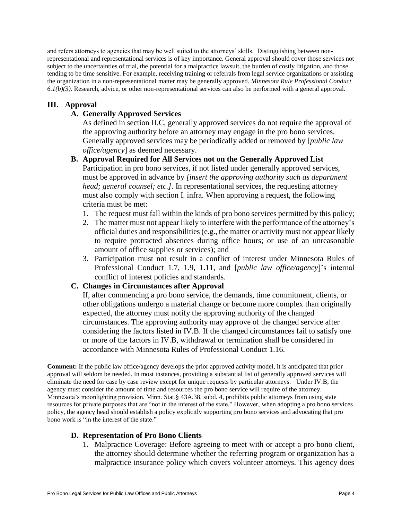and refers attorneys to agencies that may be well suited to the attorneys' skills. Distinguishing between nonrepresentational and representational services is of key importance. General approval should cover those services not subject to the uncertainties of trial, the potential for a malpractice lawsuit, the burden of costly litigation, and those tending to be time sensitive. For example, receiving training or referrals from legal service organizations or assisting the organization in a non-representational matter may be generally approved. *Minnesota Rule Professional Conduct 6.1(b)(3).* Research, advice, or other non-representational services can also be performed with a general approval.

# **III. Approval**

# **A. Generally Approved Services**

As defined in section II.C, generally approved services do not require the approval of the approving authority before an attorney may engage in the pro bono services. Generally approved services may be periodically added or removed by [*public law office/agency*] as deemed necessary.

- **B. Approval Required for All Services not on the Generally Approved List** Participation in pro bono services, if not listed under generally approved services, must be approved in advance by *[insert the approving authority such as department head; general counsel; etc.]*. In representational services, the requesting attorney must also comply with section I. infra. When approving a request, the following criteria must be met:
	- 1. The request must fall within the kinds of pro bono services permitted by this policy;
	- 2. The matter must not appear likely to interfere with the performance of the attorney's official duties and responsibilities (e.g., the matter or activity must not appear likely to require protracted absences during office hours; or use of an unreasonable amount of office supplies or services); and
	- 3. Participation must not result in a conflict of interest under Minnesota Rules of Professional Conduct 1.7, 1.9, 1.11, and [*public law office/agency*]'s internal conflict of interest policies and standards.

# **C. Changes in Circumstances after Approval**

If, after commencing a pro bono service, the demands, time commitment, clients, or other obligations undergo a material change or become more complex than originally expected, the attorney must notify the approving authority of the changed circumstances. The approving authority may approve of the changed service after considering the factors listed in IV.B. If the changed circumstances fail to satisfy one or more of the factors in IV.B, withdrawal or termination shall be considered in accordance with Minnesota Rules of Professional Conduct 1.16.

**Comment:** If the public law office/agency develops the prior approved activity model, it is anticipated that prior approval will seldom be needed. In most instances, providing a substantial list of generally approved services will eliminate the need for case by case review except for unique requests by particular attorneys. Under IV.B, the agency must consider the amount of time and resources the pro bono service will require of the attorney. Minnesota's moonlighting provision, Minn. Stat.§ 43A.38, subd. 4, prohibits public attorneys from using state resources for private purposes that are "not in the interest of the state." However, when adopting a pro bono services policy, the agency head should establish a policy explicitly supporting pro bono services and advocating that pro bono work is "in the interest of the state."

## **D. Representation of Pro Bono Clients**

1. Malpractice Coverage: Before agreeing to meet with or accept a pro bono client, the attorney should determine whether the referring program or organization has a malpractice insurance policy which covers volunteer attorneys. This agency does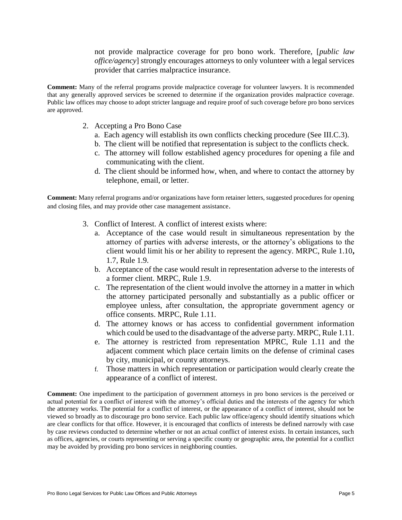not provide malpractice coverage for pro bono work. Therefore, [*public law office/agency*] strongly encourages attorneys to only volunteer with a legal services provider that carries malpractice insurance.

**Comment:** Many of the referral programs provide malpractice coverage for volunteer lawyers. It is recommended that any generally approved services be screened to determine if the organization provides malpractice coverage. Public law offices may choose to adopt stricter language and require proof of such coverage before pro bono services are approved.

- 2. Accepting a Pro Bono Case
	- a. Each agency will establish its own conflicts checking procedure (See III.C.3).
	- b. The client will be notified that representation is subject to the conflicts check.
	- c. The attorney will follow established agency procedures for opening a file and communicating with the client.
	- d. The client should be informed how, when, and where to contact the attorney by telephone, email, or letter.

**Comment:** Many referral programs and/or organizations have form retainer letters, suggested procedures for opening and closing files, and may provide other case management assistance.

- 3. Conflict of Interest. A conflict of interest exists where:
	- a. Acceptance of the case would result in simultaneous representation by the attorney of parties with adverse interests, or the attorney's obligations to the client would limit his or her ability to represent the agency. MRPC, Rule 1.10**,**  1.7, Rule 1.9.
	- b. Acceptance of the case would result in representation adverse to the interests of a former client. MRPC, Rule 1.9.
	- c. The representation of the client would involve the attorney in a matter in which the attorney participated personally and substantially as a public officer or employee unless, after consultation, the appropriate government agency or office consents. MRPC, Rule 1.11.
	- d. The attorney knows or has access to confidential government information which could be used to the disadvantage of the adverse party. MRPC, Rule 1.11.
	- e. The attorney is restricted from representation MPRC, Rule 1.11 and the adjacent comment which place certain limits on the defense of criminal cases by city, municipal, or county attorneys.
	- f. Those matters in which representation or participation would clearly create the appearance of a conflict of interest.

**Comment:** One impediment to the participation of government attorneys in pro bono services is the perceived or actual potential for a conflict of interest with the attorney's official duties and the interests of the agency for which the attorney works. The potential for a conflict of interest, or the appearance of a conflict of interest, should not be viewed so broadly as to discourage pro bono service. Each public law office/agency should identify situations which are clear conflicts for that office. However, it is encouraged that conflicts of interests be defined narrowly with case by case reviews conducted to determine whether or not an actual conflict of interest exists. In certain instances, such as offices, agencies, or courts representing or serving a specific county or geographic area, the potential for a conflict may be avoided by providing pro bono services in neighboring counties.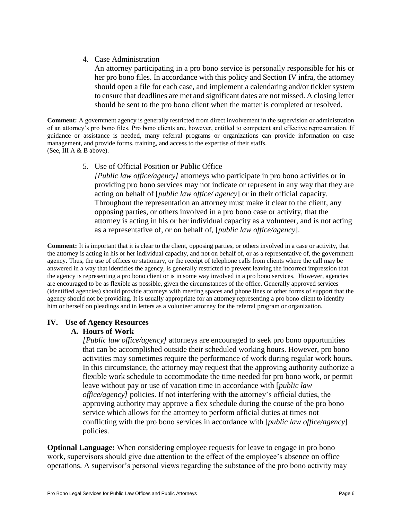## 4. Case Administration

An attorney participating in a pro bono service is personally responsible for his or her pro bono files. In accordance with this policy and Section IV infra, the attorney should open a file for each case, and implement a calendaring and/or tickler system to ensure that deadlines are met and significant dates are not missed. A closing letter should be sent to the pro bono client when the matter is completed or resolved.

**Comment:** A government agency is generally restricted from direct involvement in the supervision or administration of an attorney's pro bono files. Pro bono clients are, however, entitled to competent and effective representation. If guidance or assistance is needed, many referral programs or organizations can provide information on case management, and provide forms, training, and access to the expertise of their staffs. (See, III A & B above).

#### 5. Use of Official Position or Public Office

*[Public law office/agency]* attorneys who participate in pro bono activities or in providing pro bono services may not indicate or represent in any way that they are acting on behalf of [*public law office/ agency*] or in their official capacity. Throughout the representation an attorney must make it clear to the client, any opposing parties, or others involved in a pro bono case or activity, that the attorney is acting in his or her individual capacity as a volunteer, and is not acting as a representative of, or on behalf of, [*public law office/agency*].

**Comment:** It is important that it is clear to the client, opposing parties, or others involved in a case or activity, that the attorney is acting in his or her individual capacity, and not on behalf of, or as a representative of, the government agency. Thus, the use of offices or stationary, or the receipt of telephone calls from clients where the call may be answered in a way that identifies the agency, is generally restricted to prevent leaving the incorrect impression that the agency is representing a pro bono client or is in some way involved in a pro bono services. However, agencies are encouraged to be as flexible as possible, given the circumstances of the office. Generally approved services (identified agencies) should provide attorneys with meeting spaces and phone lines or other forms of support that the agency should not be providing. It is usually appropriate for an attorney representing a pro bono client to identify him or herself on pleadings and in letters as a volunteer attorney for the referral program or organization.

#### **IV. Use of Agency Resources**

#### **A. Hours of Work**

*[Public law office/agency]* attorneys are encouraged to seek pro bono opportunities that can be accomplished outside their scheduled working hours. However, pro bono activities may sometimes require the performance of work during regular work hours. In this circumstance, the attorney may request that the approving authority authorize a flexible work schedule to accommodate the time needed for pro bono work, or permit leave without pay or use of vacation time in accordance with [*public law office/agency]* policies. If not interfering with the attorney's official duties, the approving authority may approve a flex schedule during the course of the pro bono service which allows for the attorney to perform official duties at times not conflicting with the pro bono services in accordance with [*public law office/agency*] policies.

**Optional Language:** When considering employee requests for leave to engage in pro bono work, supervisors should give due attention to the effect of the employee's absence on office operations. A supervisor's personal views regarding the substance of the pro bono activity may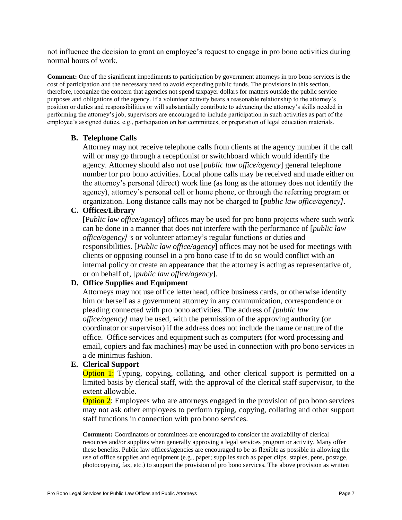not influence the decision to grant an employee's request to engage in pro bono activities during normal hours of work.

**Comment:** One of the significant impediments to participation by government attorneys in pro bono services is the cost of participation and the necessary need to avoid expending public funds. The provisions in this section, therefore, recognize the concern that agencies not spend taxpayer dollars for matters outside the public service purposes and obligations of the agency. If a volunteer activity bears a reasonable relationship to the attorney's position or duties and responsibilities or will substantially contribute to advancing the attorney's skills needed in performing the attorney's job, supervisors are encouraged to include participation in such activities as part of the employee's assigned duties, e.g., participation on bar committees, or preparation of legal education materials.

## **B. Telephone Calls**

Attorney may not receive telephone calls from clients at the agency number if the call will or may go through a receptionist or switchboard which would identify the agency. Attorney should also not use [*public law office/agency*] general telephone number for pro bono activities. Local phone calls may be received and made either on the attorney's personal (direct) work line (as long as the attorney does not identify the agency), attorney's personal cell or home phone, or through the referring program or organization. Long distance calls may not be charged to [*public law office/agency]*.

#### **C. Offices/Library**

[P*ublic law office/agency*] offices may be used for pro bono projects where such work can be done in a manner that does not interfere with the performance of [*public law office/agency]'*s or volunteer attorney's regular functions or duties and responsibilities. [*Public law office/agency*] offices may not be used for meetings with clients or opposing counsel in a pro bono case if to do so would conflict with an internal policy or create an appearance that the attorney is acting as representative of, or on behalf of, [*public law office/agency*].

## **D. Office Supplies and Equipment**

Attorneys may not use office letterhead, office business cards, or otherwise identify him or herself as a government attorney in any communication, correspondence or pleading connected with pro bono activities. The address of *[public law office/agency]* may be used, with the permission of the approving authority (or coordinator or supervisor) if the address does not include the name or nature of the office. Office services and equipment such as computers (for word processing and email, copiers and fax machines) may be used in connection with pro bono services in a de minimus fashion.

## **E. Clerical Support**

**Option 1:** Typing, copying, collating, and other clerical support is permitted on a limited basis by clerical staff, with the approval of the clerical staff supervisor, to the extent allowable.

**Option 2:** Employees who are attorneys engaged in the provision of pro bono services may not ask other employees to perform typing, copying, collating and other support staff functions in connection with pro bono services.

**Comment:** Coordinators or committees are encouraged to consider the availability of clerical resources and/or supplies when generally approving a legal services program or activity. Many offer these benefits. Public law offices/agencies are encouraged to be as flexible as possible in allowing the use of office supplies and equipment (e.g., paper; supplies such as paper clips, staples, pens, postage, photocopying, fax, etc.) to support the provision of pro bono services. The above provision as written